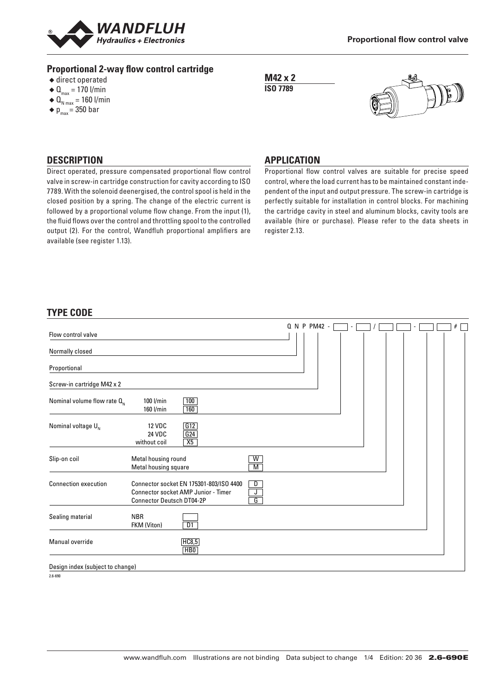

# **Proportional 2-way flow control cartridge**

- $\triangle$  direct operated
- $\triangleleft$  Q<sub>max</sub> = 170 l/min
- $\triangleleft \mathbf{Q}_{_{N \max}} = 160$  l/min
- $\blacklozenge$  p<sub>max</sub> = 350 bar

**M42 x 2 ISO 7789**



### **DESCRIPTION**

Direct operated, pressure compensated proportional flow control valve in screw-in cartridge construction for cavity according to ISO 7789. With the solenoid deenergised, the control spool is held in the closed position by a spring. The change of the electric current is followed by a proportional volume flow change. From the input (1), the fluid flows over the control and throttling spool to the controlled output (2). For the control, Wandfluh proportional amplifiers are available (see register 1.13).

### **APPLICATION**

Proportional flow control valves are suitable for precise speed control, where the load current has to be maintained constant independent of the input and output pressure. The screw-in cartridge is perfectly suitable for installation in control blocks. For machining the cartridge cavity in steel and aluminum blocks, cavity tools are available (hire or purchase). Please refer to the data sheets in register 2.13.

# **TYPE CODE**

| Flow control valve               |                                                                                                                                          |                     | Q N P PM42 - |  |  | # |
|----------------------------------|------------------------------------------------------------------------------------------------------------------------------------------|---------------------|--------------|--|--|---|
| Normally closed                  |                                                                                                                                          |                     |              |  |  |   |
| Proportional                     |                                                                                                                                          |                     |              |  |  |   |
| Screw-in cartridge M42 x 2       |                                                                                                                                          |                     |              |  |  |   |
| Nominal volume flow rate $Q_{N}$ | 100<br>100 l/min<br>160<br>160 l/min                                                                                                     |                     |              |  |  |   |
| Nominal voltage $U_{N}$          | G12<br><b>12 VDC</b><br>G24<br><b>24 VDC</b><br>X5<br>without coil                                                                       |                     |              |  |  |   |
| Slip-on coil                     | Metal housing round<br>Metal housing square                                                                                              | W<br>$\overline{M}$ |              |  |  |   |
| <b>Connection execution</b>      | Connector socket EN 175301-803/ISO 4400<br>D<br>J<br><b>Connector socket AMP Junior - Timer</b><br>G<br><b>Connector Deutsch DT04-2P</b> |                     |              |  |  |   |
| Sealing material                 | <b>NBR</b><br>$\overline{D1}$<br>FKM (Viton)                                                                                             |                     |              |  |  |   |
| Manual override                  | HC8,5<br>HBO                                                                                                                             |                     |              |  |  |   |
| Design index (subject to change) |                                                                                                                                          |                     |              |  |  |   |

2.6-690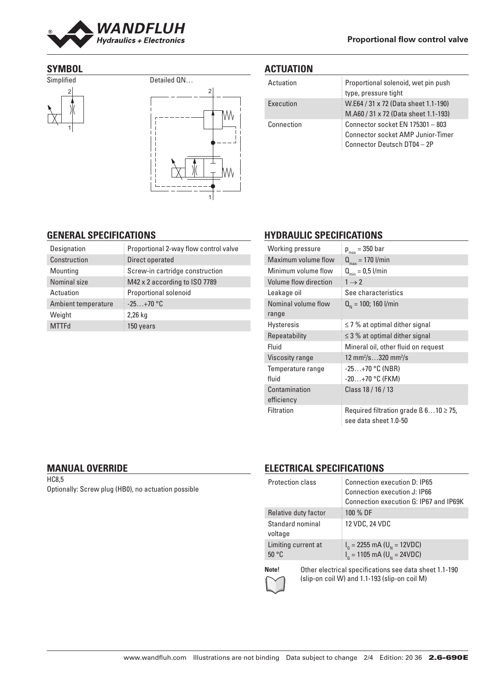

#### **Proportional flow control valve**

### **SYMBOL**





# **ACTUATION**

| Actuation  | Proportional solenoid, wet pin push<br>type, pressure tight                                                 |
|------------|-------------------------------------------------------------------------------------------------------------|
| Execution  | W.E64 / 31 x 72 (Data sheet 1.1-190)<br>M.A60 / 31 x 72 (Data sheet 1.1-193)                                |
| Connection | Connector socket EN 175301 - 803<br><b>Connector socket AMP Junior-Timer</b><br>Connector Deutsch DT04 - 2P |

#### **GENERAL SPECIFICATIONS**

| Designation         | Proportional 2-way flow control valve |  |  |
|---------------------|---------------------------------------|--|--|
| Construction        | Direct operated                       |  |  |
| Mounting            | Screw-in cartridge construction       |  |  |
| Nominal size        | M42 x 2 according to ISO 7789         |  |  |
| Actuation           | Proportional solenoid                 |  |  |
| Ambient temperature | $-25+70$ °C                           |  |  |
| Weight              | 2,26 kg                               |  |  |
| <b>MTTFd</b>        | 150 years                             |  |  |

# **HYDRAULIC SPECIFICATIONS**

| Working pressure             | $p_{max} = 350$ bar                                                       |  |  |
|------------------------------|---------------------------------------------------------------------------|--|--|
| Maximum volume flow          | $Q_{\text{max}} = 170$ l/min                                              |  |  |
| Minimum volume flow          | $Q_{\min} = 0.5$ l/min                                                    |  |  |
| Volume flow direction        | $1 \rightarrow 2$                                                         |  |  |
| Leakage oil                  | See characteristics                                                       |  |  |
| Nominal volume flow<br>range | $Q_{N}$ = 100; 160 l/min                                                  |  |  |
| <b>Hysteresis</b>            | $\leq$ 7 % at optimal dither signal                                       |  |  |
| Repeatability                | $\leq$ 3 % at optimal dither signal                                       |  |  |
| Fluid                        | Mineral oil, other fluid on request                                       |  |  |
| Viscosity range              | 12 mm <sup>2</sup> /s320 mm <sup>2</sup> /s                               |  |  |
| Temperature range<br>fluid   | $-25+70$ °C (NBR)<br>$-20+70$ °C (FKM)                                    |  |  |
| Contamination<br>efficiency  | Class 18 / 16 / 13                                                        |  |  |
| <b>Filtration</b>            | Required filtration grade $\beta$ 610 $\geq$ 75,<br>see data sheet 1.0-50 |  |  |

## **MANUAL OVERRIDE**

HC8,5 Optionally: Screw plug (HB0), no actuation possible

### **ELECTRICAL SPECIFICATIONS**

| <b>Protection class</b>      | Connection execution D: IP65<br>Connection execution J: IP66<br>Connection execution G: IP67 and IP69K |
|------------------------------|--------------------------------------------------------------------------------------------------------|
| Relative duty factor         | 100 % DF                                                                                               |
| Standard nominal<br>voltage  | 12 VDC, 24 VDC                                                                                         |
| Limiting current at<br>50 °C | $I_{\rm g}$ = 2255 mA (U <sub>N</sub> = 12VDC)<br>$I_G$ = 1105 mA (U <sub>N</sub> = 24VDC)             |

**Note!** Other electrical specifications see data sheet 1.1-190 (slip-on coil W) and 1.1-193 (slip-on coil M)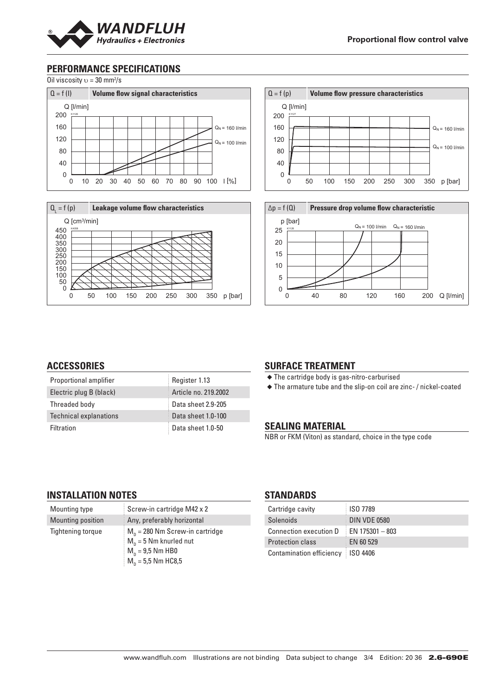

# **PERFORMANCE SPECIFICATIONS**

Oil viscosity  $v = 30$  mm<sup>2</sup>/s









#### **ACCESSORIES**

| Proportional amplifier        | Register 1.13        |
|-------------------------------|----------------------|
| Electric plug B (black)       | Article no. 219.2002 |
| Threaded body                 | Data sheet 2.9-205   |
| <b>Technical explanations</b> | Data sheet 1.0-100   |
| Filtration                    | Data sheet 1.0-50    |

#### **SURFACE TREATMENT**

◆ The cartridge body is gas-nitro-carburised

◆ The armature tube and the slip-on coil are zinc- / nickel-coated

#### **SEALING MATERIAL**

NBR or FKM (Viton) as standard, choice in the type code

#### **INSTALLATION NOTES**

| Mounting type            | Screw-in cartridge M42 x 2              |
|--------------------------|-----------------------------------------|
| Mounting position        | Any, preferably horizontal              |
| <b>Tightening torque</b> | $M_{\rm o}$ = 280 Nm Screw-in cartridge |
|                          | $M_n = 5$ Nm knurled nut                |
|                          | $M_n = 9.5$ Nm HB0                      |
|                          | $M_n = 5.5$ Nm HC8.5                    |

#### **STANDARDS**

| Cartridge cavity                    | ISO 7789            |
|-------------------------------------|---------------------|
| Solenoids                           | DIN VDE 0580        |
| Connection execution D              | $E$ EN 175301 - 803 |
| <b>Protection class</b>             | EN 60 529           |
| Contamination efficiency   ISO 4406 |                     |